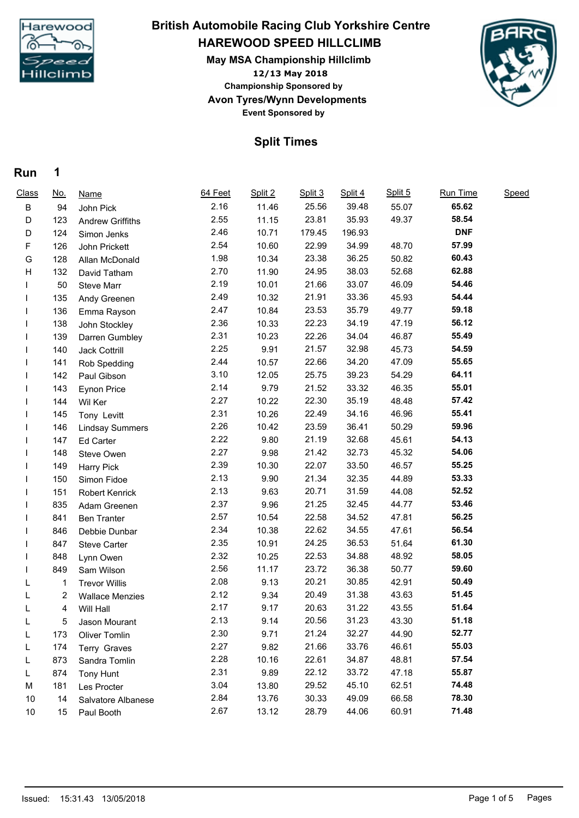

# **HAREWOOD SPEED HILLCLIMB May MSA Championship Hillclimb British Automobile Racing Club Yorkshire Centre**

**12/13 May 2018 Avon Tyres/Wynn Developments Event Sponsored by Championship Sponsored by**



### **Split Times**

#### **Run 1**

| Class | <u>No.</u> | <b>Name</b>             | 64 Feet | Split 2 | Split 3 | Split 4 | Split 5 | Run Time   | Speed |
|-------|------------|-------------------------|---------|---------|---------|---------|---------|------------|-------|
| B     | 94         | John Pick               | 2.16    | 11.46   | 25.56   | 39.48   | 55.07   | 65.62      |       |
| D     | 123        | <b>Andrew Griffiths</b> | 2.55    | 11.15   | 23.81   | 35.93   | 49.37   | 58.54      |       |
| D     | 124        | Simon Jenks             | 2.46    | 10.71   | 179.45  | 196.93  |         | <b>DNF</b> |       |
| F     | 126        | John Prickett           | 2.54    | 10.60   | 22.99   | 34.99   | 48.70   | 57.99      |       |
| G     | 128        | Allan McDonald          | 1.98    | 10.34   | 23.38   | 36.25   | 50.82   | 60.43      |       |
| н     | 132        | David Tatham            | 2.70    | 11.90   | 24.95   | 38.03   | 52.68   | 62.88      |       |
|       | 50         | Steve Marr              | 2.19    | 10.01   | 21.66   | 33.07   | 46.09   | 54.46      |       |
|       | 135        | Andy Greenen            | 2.49    | 10.32   | 21.91   | 33.36   | 45.93   | 54.44      |       |
|       | 136        | Emma Rayson             | 2.47    | 10.84   | 23.53   | 35.79   | 49.77   | 59.18      |       |
|       | 138        | John Stockley           | 2.36    | 10.33   | 22.23   | 34.19   | 47.19   | 56.12      |       |
|       | 139        | Darren Gumbley          | 2.31    | 10.23   | 22.26   | 34.04   | 46.87   | 55.49      |       |
|       | 140        | Jack Cottrill           | 2.25    | 9.91    | 21.57   | 32.98   | 45.73   | 54.59      |       |
|       | 141        | Rob Spedding            | 2.44    | 10.57   | 22.66   | 34.20   | 47.09   | 55.65      |       |
|       | 142        | Paul Gibson             | 3.10    | 12.05   | 25.75   | 39.23   | 54.29   | 64.11      |       |
|       | 143        | Eynon Price             | 2.14    | 9.79    | 21.52   | 33.32   | 46.35   | 55.01      |       |
|       | 144        | Wil Ker                 | 2.27    | 10.22   | 22.30   | 35.19   | 48.48   | 57.42      |       |
|       | 145        | Tony Levitt             | 2.31    | 10.26   | 22.49   | 34.16   | 46.96   | 55.41      |       |
|       | 146        | <b>Lindsay Summers</b>  | 2.26    | 10.42   | 23.59   | 36.41   | 50.29   | 59.96      |       |
|       | 147        | Ed Carter               | 2.22    | 9.80    | 21.19   | 32.68   | 45.61   | 54.13      |       |
|       | 148        | Steve Owen              | 2.27    | 9.98    | 21.42   | 32.73   | 45.32   | 54.06      |       |
|       | 149        | Harry Pick              | 2.39    | 10.30   | 22.07   | 33.50   | 46.57   | 55.25      |       |
|       | 150        | Simon Fidoe             | 2.13    | 9.90    | 21.34   | 32.35   | 44.89   | 53.33      |       |
|       | 151        | Robert Kenrick          | 2.13    | 9.63    | 20.71   | 31.59   | 44.08   | 52.52      |       |
|       | 835        | Adam Greenen            | 2.37    | 9.96    | 21.25   | 32.45   | 44.77   | 53.46      |       |
|       | 841        | <b>Ben Tranter</b>      | 2.57    | 10.54   | 22.58   | 34.52   | 47.81   | 56.25      |       |
|       | 846        | Debbie Dunbar           | 2.34    | 10.38   | 22.62   | 34.55   | 47.61   | 56.54      |       |
|       | 847        | <b>Steve Carter</b>     | 2.35    | 10.91   | 24.25   | 36.53   | 51.64   | 61.30      |       |
|       | 848        | Lynn Owen               | 2.32    | 10.25   | 22.53   | 34.88   | 48.92   | 58.05      |       |
|       | 849        | Sam Wilson              | 2.56    | 11.17   | 23.72   | 36.38   | 50.77   | 59.60      |       |
|       | 1          | <b>Trevor Willis</b>    | 2.08    | 9.13    | 20.21   | 30.85   | 42.91   | 50.49      |       |
|       | 2          | <b>Wallace Menzies</b>  | 2.12    | 9.34    | 20.49   | 31.38   | 43.63   | 51.45      |       |
|       | 4          | Will Hall               | 2.17    | 9.17    | 20.63   | 31.22   | 43.55   | 51.64      |       |
|       | 5          | Jason Mourant           | 2.13    | 9.14    | 20.56   | 31.23   | 43.30   | 51.18      |       |
| L     | 173        | Oliver Tomlin           | 2.30    | 9.71    | 21.24   | 32.27   | 44.90   | 52.77      |       |
| L     | 174        | Terry Graves            | 2.27    | 9.82    | 21.66   | 33.76   | 46.61   | 55.03      |       |
| L     | 873        | Sandra Tomlin           | 2.28    | 10.16   | 22.61   | 34.87   | 48.81   | 57.54      |       |
| L     | 874        | Tony Hunt               | 2.31    | 9.89    | 22.12   | 33.72   | 47.18   | 55.87      |       |
| M     | 181        | Les Procter             | 3.04    | 13.80   | 29.52   | 45.10   | 62.51   | 74.48      |       |
| 10    | 14         | Salvatore Albanese      | 2.84    | 13.76   | 30.33   | 49.09   | 66.58   | 78.30      |       |
| 10    | 15         | Paul Booth              | 2.67    | 13.12   | 28.79   | 44.06   | 60.91   | 71.48      |       |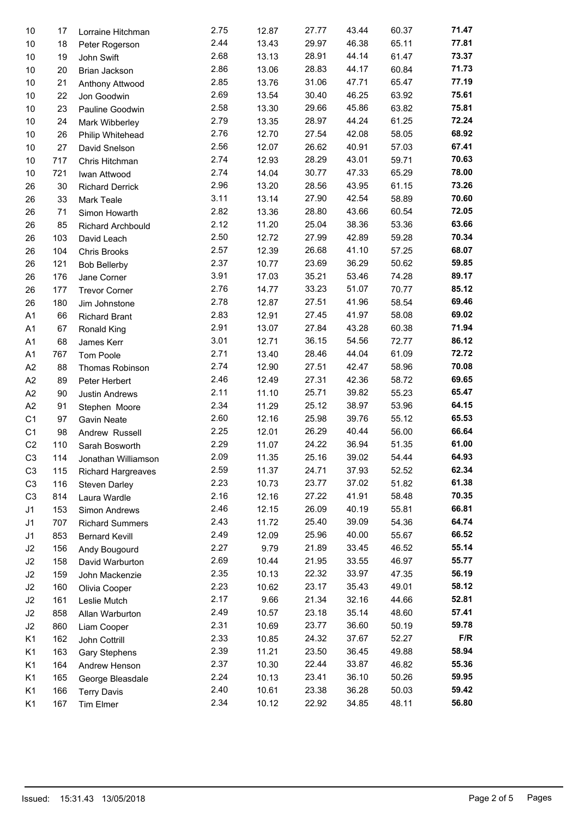| 10             | 17  | Lorraine Hitchman         | 2.75 | 12.87 | 27.77 | 43.44 | 60.37 | 71.47 |
|----------------|-----|---------------------------|------|-------|-------|-------|-------|-------|
| 10             | 18  | Peter Rogerson            | 2.44 | 13.43 | 29.97 | 46.38 | 65.11 | 77.81 |
| 10             | 19  | John Swift                | 2.68 | 13.13 | 28.91 | 44.14 | 61.47 | 73.37 |
| 10             | 20  | Brian Jackson             | 2.86 | 13.06 | 28.83 | 44.17 | 60.84 | 71.73 |
| 10             | 21  | Anthony Attwood           | 2.85 | 13.76 | 31.06 | 47.71 | 65.47 | 77.19 |
| 10             | 22  | Jon Goodwin               | 2.69 | 13.54 | 30.40 | 46.25 | 63.92 | 75.61 |
| 10             | 23  | Pauline Goodwin           | 2.58 | 13.30 | 29.66 | 45.86 | 63.82 | 75.81 |
| 10             | 24  | Mark Wibberley            | 2.79 | 13.35 | 28.97 | 44.24 | 61.25 | 72.24 |
| 10             | 26  | Philip Whitehead          | 2.76 | 12.70 | 27.54 | 42.08 | 58.05 | 68.92 |
| 10             | 27  | David Snelson             | 2.56 | 12.07 | 26.62 | 40.91 | 57.03 | 67.41 |
| 10             | 717 | Chris Hitchman            | 2.74 | 12.93 | 28.29 | 43.01 | 59.71 | 70.63 |
| 10             | 721 | Iwan Attwood              | 2.74 | 14.04 | 30.77 | 47.33 | 65.29 | 78.00 |
| 26             | 30  | <b>Richard Derrick</b>    | 2.96 | 13.20 | 28.56 | 43.95 | 61.15 | 73.26 |
| 26             | 33  | Mark Teale                | 3.11 | 13.14 | 27.90 | 42.54 | 58.89 | 70.60 |
| 26             | 71  |                           | 2.82 | 13.36 | 28.80 | 43.66 | 60.54 | 72.05 |
| 26             | 85  | Simon Howarth             | 2.12 | 11.20 | 25.04 | 38.36 | 53.36 | 63.66 |
|                |     | Richard Archbould         | 2.50 | 12.72 | 27.99 | 42.89 | 59.28 | 70.34 |
| 26             | 103 | David Leach               | 2.57 |       | 26.68 | 41.10 |       | 68.07 |
| 26             | 104 | Chris Brooks              | 2.37 | 12.39 |       |       | 57.25 | 59.85 |
| 26             | 121 | <b>Bob Bellerby</b>       |      | 10.77 | 23.69 | 36.29 | 50.62 |       |
| 26             | 176 | Jane Corner               | 3.91 | 17.03 | 35.21 | 53.46 | 74.28 | 89.17 |
| 26             | 177 | <b>Trevor Corner</b>      | 2.76 | 14.77 | 33.23 | 51.07 | 70.77 | 85.12 |
| 26             | 180 | Jim Johnstone             | 2.78 | 12.87 | 27.51 | 41.96 | 58.54 | 69.46 |
| A <sub>1</sub> | 66  | <b>Richard Brant</b>      | 2.83 | 12.91 | 27.45 | 41.97 | 58.08 | 69.02 |
| A <sub>1</sub> | 67  | Ronald King               | 2.91 | 13.07 | 27.84 | 43.28 | 60.38 | 71.94 |
| A <sub>1</sub> | 68  | James Kerr                | 3.01 | 12.71 | 36.15 | 54.56 | 72.77 | 86.12 |
| A <sub>1</sub> | 767 | Tom Poole                 | 2.71 | 13.40 | 28.46 | 44.04 | 61.09 | 72.72 |
| A <sub>2</sub> | 88  | Thomas Robinson           | 2.74 | 12.90 | 27.51 | 42.47 | 58.96 | 70.08 |
| A <sub>2</sub> | 89  | Peter Herbert             | 2.46 | 12.49 | 27.31 | 42.36 | 58.72 | 69.65 |
| A <sub>2</sub> | 90  | Justin Andrews            | 2.11 | 11.10 | 25.71 | 39.82 | 55.23 | 65.47 |
| A2             | 91  | Stephen Moore             | 2.34 | 11.29 | 25.12 | 38.97 | 53.96 | 64.15 |
| C <sub>1</sub> | 97  | Gavin Neate               | 2.60 | 12.16 | 25.98 | 39.76 | 55.12 | 65.53 |
| C <sub>1</sub> | 98  | Andrew Russell            | 2.25 | 12.01 | 26.29 | 40.44 | 56.00 | 66.64 |
| C <sub>2</sub> | 110 | Sarah Bosworth            | 2.29 | 11.07 | 24.22 | 36.94 | 51.35 | 61.00 |
| C <sub>3</sub> | 114 | Jonathan Williamson       | 2.09 | 11.35 | 25.16 | 39.02 | 54.44 | 64.93 |
| C <sub>3</sub> | 115 | <b>Richard Hargreaves</b> | 2.59 | 11.37 | 24.71 | 37.93 | 52.52 | 62.34 |
| C <sub>3</sub> | 116 | Steven Darley             | 2.23 | 10.73 | 23.77 | 37.02 | 51.82 | 61.38 |
| C <sub>3</sub> | 814 | Laura Wardle              | 2.16 | 12.16 | 27.22 | 41.91 | 58.48 | 70.35 |
| J1             | 153 | Simon Andrews             | 2.46 | 12.15 | 26.09 | 40.19 | 55.81 | 66.81 |
| J1             | 707 | <b>Richard Summers</b>    | 2.43 | 11.72 | 25.40 | 39.09 | 54.36 | 64.74 |
| J <sub>1</sub> | 853 | <b>Bernard Kevill</b>     | 2.49 | 12.09 | 25.96 | 40.00 | 55.67 | 66.52 |
| J2             | 156 | Andy Bougourd             | 2.27 | 9.79  | 21.89 | 33.45 | 46.52 | 55.14 |
| J2             | 158 | David Warburton           | 2.69 | 10.44 | 21.95 | 33.55 | 46.97 | 55.77 |
| J2             | 159 | John Mackenzie            | 2.35 | 10.13 | 22.32 | 33.97 | 47.35 | 56.19 |
| J2             |     |                           | 2.23 | 10.62 | 23.17 | 35.43 | 49.01 | 58.12 |
|                | 160 | Olivia Cooper             | 2.17 |       |       |       | 44.66 | 52.81 |
| J2             | 161 | Leslie Mutch              |      | 9.66  | 21.34 | 32.16 |       |       |
| J2             | 858 | Allan Warburton           | 2.49 | 10.57 | 23.18 | 35.14 | 48.60 | 57.41 |
| J2             | 860 | Liam Cooper               | 2.31 | 10.69 | 23.77 | 36.60 | 50.19 | 59.78 |
| K1             | 162 | John Cottrill             | 2.33 | 10.85 | 24.32 | 37.67 | 52.27 | F/R   |
| K1             | 163 | Gary Stephens             | 2.39 | 11.21 | 23.50 | 36.45 | 49.88 | 58.94 |
| K1             | 164 | Andrew Henson             | 2.37 | 10.30 | 22.44 | 33.87 | 46.82 | 55.36 |
| K1             | 165 | George Bleasdale          | 2.24 | 10.13 | 23.41 | 36.10 | 50.26 | 59.95 |
| K1             | 166 | <b>Terry Davis</b>        | 2.40 | 10.61 | 23.38 | 36.28 | 50.03 | 59.42 |
| K <sub>1</sub> | 167 | Tim Elmer                 | 2.34 | 10.12 | 22.92 | 34.85 | 48.11 | 56.80 |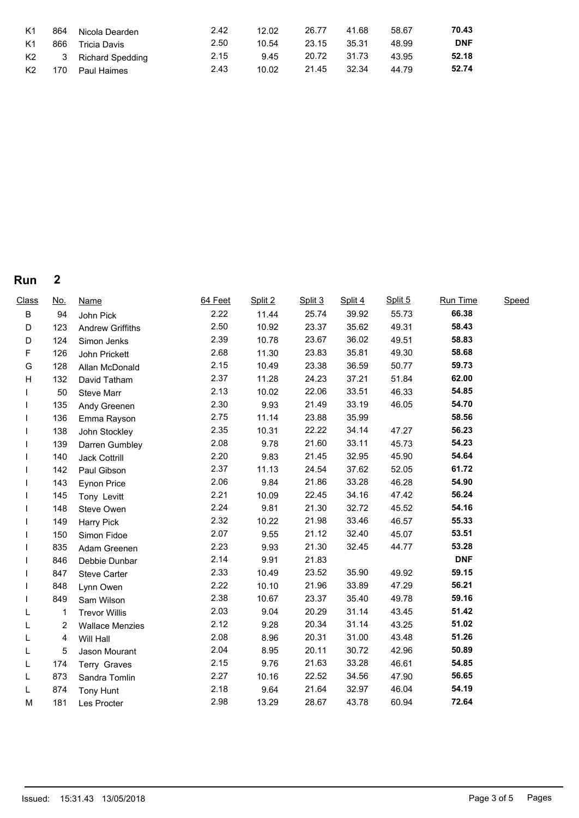| K <sub>1</sub> | 864 | Nicola Dearden     | 2.42 | 12.02 | 26.77       | 41.68   | 58.67 | 70.43      |
|----------------|-----|--------------------|------|-------|-------------|---------|-------|------------|
| K1             | 866 | Tricia Davis       | 2.50 | 10.54 | 23.15       | - 35.31 | 48.99 | <b>DNF</b> |
| K2             |     | 3 Richard Spedding | 2.15 | 9.45  | 20.72 31.73 |         | 43.95 | 52.18      |
| K <sub>2</sub> | 170 | <b>Paul Haimes</b> | 2.43 | 10.02 | 21.45       | 32.34   | 44.79 | 52.74      |

## **Run 2**

| <b>Class</b> | <u>No.</u> | <u>Name</u>             | 64 Feet | Split 2 | Split 3 | Split 4 | Split 5 | Run Time   | Speed |
|--------------|------------|-------------------------|---------|---------|---------|---------|---------|------------|-------|
| B            | 94         | John Pick               | 2.22    | 11.44   | 25.74   | 39.92   | 55.73   | 66.38      |       |
| D            | 123        | <b>Andrew Griffiths</b> | 2.50    | 10.92   | 23.37   | 35.62   | 49.31   | 58.43      |       |
| D            | 124        | Simon Jenks             | 2.39    | 10.78   | 23.67   | 36.02   | 49.51   | 58.83      |       |
| F            | 126        | John Prickett           | 2.68    | 11.30   | 23.83   | 35.81   | 49.30   | 58.68      |       |
| G            | 128        | Allan McDonald          | 2.15    | 10.49   | 23.38   | 36.59   | 50.77   | 59.73      |       |
| H            | 132        | David Tatham            | 2.37    | 11.28   | 24.23   | 37.21   | 51.84   | 62.00      |       |
|              | 50         | Steve Marr              | 2.13    | 10.02   | 22.06   | 33.51   | 46.33   | 54.85      |       |
|              | 135        | Andy Greenen            | 2.30    | 9.93    | 21.49   | 33.19   | 46.05   | 54.70      |       |
|              | 136        | Emma Rayson             | 2.75    | 11.14   | 23.88   | 35.99   |         | 58.56      |       |
|              | 138        | John Stockley           | 2.35    | 10.31   | 22.22   | 34.14   | 47.27   | 56.23      |       |
|              | 139        | Darren Gumbley          | 2.08    | 9.78    | 21.60   | 33.11   | 45.73   | 54.23      |       |
|              | 140        | Jack Cottrill           | 2.20    | 9.83    | 21.45   | 32.95   | 45.90   | 54.64      |       |
|              | 142        | Paul Gibson             | 2.37    | 11.13   | 24.54   | 37.62   | 52.05   | 61.72      |       |
|              | 143        | <b>Eynon Price</b>      | 2.06    | 9.84    | 21.86   | 33.28   | 46.28   | 54.90      |       |
|              | 145        | Tony Levitt             | 2.21    | 10.09   | 22.45   | 34.16   | 47.42   | 56.24      |       |
|              | 148        | Steve Owen              | 2.24    | 9.81    | 21.30   | 32.72   | 45.52   | 54.16      |       |
|              | 149        | Harry Pick              | 2.32    | 10.22   | 21.98   | 33.46   | 46.57   | 55.33      |       |
|              | 150        | Simon Fidoe             | 2.07    | 9.55    | 21.12   | 32.40   | 45.07   | 53.51      |       |
|              | 835        | Adam Greenen            | 2.23    | 9.93    | 21.30   | 32.45   | 44.77   | 53.28      |       |
|              | 846        | Debbie Dunbar           | 2.14    | 9.91    | 21.83   |         |         | <b>DNF</b> |       |
|              | 847        | <b>Steve Carter</b>     | 2.33    | 10.49   | 23.52   | 35.90   | 49.92   | 59.15      |       |
|              | 848        | Lynn Owen               | 2.22    | 10.10   | 21.96   | 33.89   | 47.29   | 56.21      |       |
|              | 849        | Sam Wilson              | 2.38    | 10.67   | 23.37   | 35.40   | 49.78   | 59.16      |       |
| L            | 1          | <b>Trevor Willis</b>    | 2.03    | 9.04    | 20.29   | 31.14   | 43.45   | 51.42      |       |
| L            | 2          | <b>Wallace Menzies</b>  | 2.12    | 9.28    | 20.34   | 31.14   | 43.25   | 51.02      |       |
| L            | 4          | Will Hall               | 2.08    | 8.96    | 20.31   | 31.00   | 43.48   | 51.26      |       |
| L            | 5          | Jason Mourant           | 2.04    | 8.95    | 20.11   | 30.72   | 42.96   | 50.89      |       |
| L            | 174        | Terry Graves            | 2.15    | 9.76    | 21.63   | 33.28   | 46.61   | 54.85      |       |
| L            | 873        | Sandra Tomlin           | 2.27    | 10.16   | 22.52   | 34.56   | 47.90   | 56.65      |       |
| L            | 874        | Tony Hunt               | 2.18    | 9.64    | 21.64   | 32.97   | 46.04   | 54.19      |       |
| M            | 181        | Les Procter             | 2.98    | 13.29   | 28.67   | 43.78   | 60.94   | 72.64      |       |
|              |            |                         |         |         |         |         |         |            |       |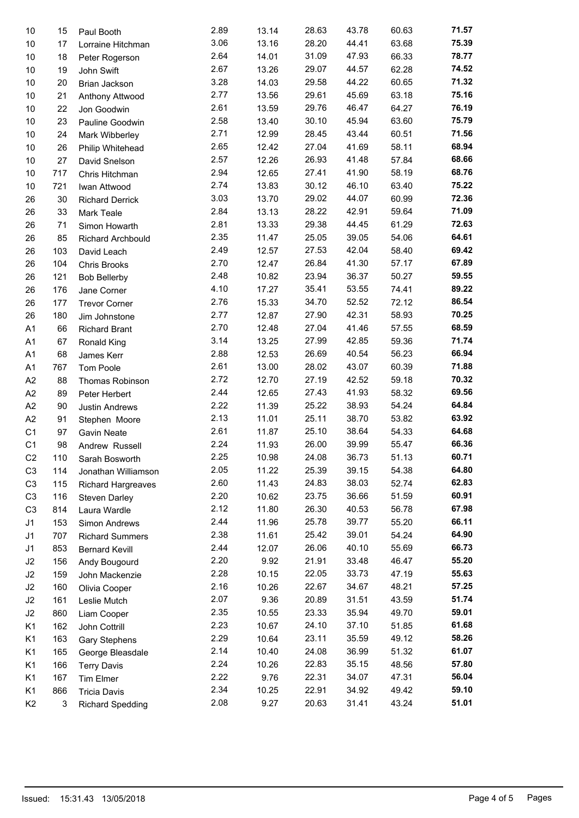| 10             | 15  | Paul Booth                | 2.89 | 13.14 | 28.63 | 43.78 | 60.63 | 71.57 |
|----------------|-----|---------------------------|------|-------|-------|-------|-------|-------|
| 10             | 17  | Lorraine Hitchman         | 3.06 | 13.16 | 28.20 | 44.41 | 63.68 | 75.39 |
| 10             | 18  | Peter Rogerson            | 2.64 | 14.01 | 31.09 | 47.93 | 66.33 | 78.77 |
| 10             | 19  | John Swift                | 2.67 | 13.26 | 29.07 | 44.57 | 62.28 | 74.52 |
| 10             | 20  | Brian Jackson             | 3.28 | 14.03 | 29.58 | 44.22 | 60.65 | 71.32 |
| 10             | 21  | Anthony Attwood           | 2.77 | 13.56 | 29.61 | 45.69 | 63.18 | 75.16 |
| 10             | 22  | Jon Goodwin               | 2.61 | 13.59 | 29.76 | 46.47 | 64.27 | 76.19 |
| 10             | 23  | Pauline Goodwin           | 2.58 | 13.40 | 30.10 | 45.94 | 63.60 | 75.79 |
| 10             | 24  | Mark Wibberley            | 2.71 | 12.99 | 28.45 | 43.44 | 60.51 | 71.56 |
| 10             | 26  | Philip Whitehead          | 2.65 | 12.42 | 27.04 | 41.69 | 58.11 | 68.94 |
| 10             | 27  | David Snelson             | 2.57 | 12.26 | 26.93 | 41.48 | 57.84 | 68.66 |
| 10             | 717 | Chris Hitchman            | 2.94 | 12.65 | 27.41 | 41.90 | 58.19 | 68.76 |
| 10             | 721 | Iwan Attwood              | 2.74 | 13.83 | 30.12 | 46.10 | 63.40 | 75.22 |
| 26             | 30  | <b>Richard Derrick</b>    | 3.03 | 13.70 | 29.02 | 44.07 | 60.99 | 72.36 |
| 26             | 33  | Mark Teale                | 2.84 | 13.13 | 28.22 | 42.91 | 59.64 | 71.09 |
| 26             | 71  | Simon Howarth             | 2.81 | 13.33 | 29.38 | 44.45 | 61.29 | 72.63 |
| 26             | 85  | Richard Archbould         | 2.35 | 11.47 | 25.05 | 39.05 | 54.06 | 64.61 |
| 26             | 103 | David Leach               | 2.49 | 12.57 | 27.53 | 42.04 | 58.40 | 69.42 |
| 26             | 104 | Chris Brooks              | 2.70 | 12.47 | 26.84 | 41.30 | 57.17 | 67.89 |
| 26             | 121 | <b>Bob Bellerby</b>       | 2.48 | 10.82 | 23.94 | 36.37 | 50.27 | 59.55 |
| 26             | 176 | Jane Corner               | 4.10 | 17.27 | 35.41 | 53.55 | 74.41 | 89.22 |
| 26             | 177 | <b>Trevor Corner</b>      | 2.76 | 15.33 | 34.70 | 52.52 | 72.12 | 86.54 |
| 26             | 180 | Jim Johnstone             | 2.77 | 12.87 | 27.90 | 42.31 | 58.93 | 70.25 |
| A1             | 66  | <b>Richard Brant</b>      | 2.70 | 12.48 | 27.04 | 41.46 | 57.55 | 68.59 |
| A <sub>1</sub> | 67  | Ronald King               | 3.14 | 13.25 | 27.99 | 42.85 | 59.36 | 71.74 |
| A <sub>1</sub> | 68  | James Kerr                | 2.88 | 12.53 | 26.69 | 40.54 | 56.23 | 66.94 |
| A <sub>1</sub> | 767 | Tom Poole                 | 2.61 | 13.00 | 28.02 | 43.07 | 60.39 | 71.88 |
| A <sub>2</sub> | 88  | Thomas Robinson           | 2.72 | 12.70 | 27.19 | 42.52 | 59.18 | 70.32 |
| A <sub>2</sub> | 89  | Peter Herbert             | 2.44 | 12.65 | 27.43 | 41.93 | 58.32 | 69.56 |
| A2             | 90  | Justin Andrews            | 2.22 | 11.39 | 25.22 | 38.93 | 54.24 | 64.84 |
| A <sub>2</sub> | 91  | Stephen Moore             | 2.13 | 11.01 | 25.11 | 38.70 | 53.82 | 63.92 |
| C <sub>1</sub> | 97  | Gavin Neate               | 2.61 | 11.87 | 25.10 | 38.64 | 54.33 | 64.68 |
| C <sub>1</sub> | 98  | Andrew Russell            | 2.24 | 11.93 | 26.00 | 39.99 | 55.47 | 66.36 |
| C <sub>2</sub> | 110 | Sarah Bosworth            | 2.25 | 10.98 | 24.08 | 36.73 | 51.13 | 60.71 |
| C <sub>3</sub> | 114 | Jonathan Williamson       | 2.05 | 11.22 | 25.39 | 39.15 | 54.38 | 64.80 |
| C <sub>3</sub> | 115 | <b>Richard Hargreaves</b> | 2.60 | 11.43 | 24.83 | 38.03 | 52.74 | 62.83 |
| C <sub>3</sub> | 116 | Steven Darley             | 2.20 | 10.62 | 23.75 | 36.66 | 51.59 | 60.91 |
| C <sub>3</sub> | 814 | Laura Wardle              | 2.12 | 11.80 | 26.30 | 40.53 | 56.78 | 67.98 |
| J1             | 153 | Simon Andrews             | 2.44 | 11.96 | 25.78 | 39.77 | 55.20 | 66.11 |
| J <sub>1</sub> | 707 | <b>Richard Summers</b>    | 2.38 | 11.61 | 25.42 | 39.01 | 54.24 | 64.90 |
| J1             | 853 | <b>Bernard Kevill</b>     | 2.44 | 12.07 | 26.06 | 40.10 | 55.69 | 66.73 |
| J2             | 156 | Andy Bougourd             | 2.20 | 9.92  | 21.91 | 33.48 | 46.47 | 55.20 |
| J2             | 159 | John Mackenzie            | 2.28 | 10.15 | 22.05 | 33.73 | 47.19 | 55.63 |
| J2             | 160 | Olivia Cooper             | 2.16 | 10.26 | 22.67 | 34.67 | 48.21 | 57.25 |
| J2             | 161 | Leslie Mutch              | 2.07 | 9.36  | 20.89 | 31.51 | 43.59 | 51.74 |
| J2             | 860 | Liam Cooper               | 2.35 | 10.55 | 23.33 | 35.94 | 49.70 | 59.01 |
| K1             | 162 | John Cottrill             | 2.23 | 10.67 | 24.10 | 37.10 | 51.85 | 61.68 |
| K1             | 163 | Gary Stephens             | 2.29 | 10.64 | 23.11 | 35.59 | 49.12 | 58.26 |
| K1             | 165 | George Bleasdale          | 2.14 | 10.40 | 24.08 | 36.99 | 51.32 | 61.07 |
| K <sub>1</sub> | 166 | <b>Terry Davis</b>        | 2.24 | 10.26 | 22.83 | 35.15 | 48.56 | 57.80 |
| K1             | 167 | <b>Tim Elmer</b>          | 2.22 | 9.76  | 22.31 | 34.07 | 47.31 | 56.04 |
| K1             | 866 | <b>Tricia Davis</b>       | 2.34 | 10.25 | 22.91 | 34.92 | 49.42 | 59.10 |
| K <sub>2</sub> | 3   | <b>Richard Spedding</b>   | 2.08 | 9.27  | 20.63 | 31.41 | 43.24 | 51.01 |
|                |     |                           |      |       |       |       |       |       |